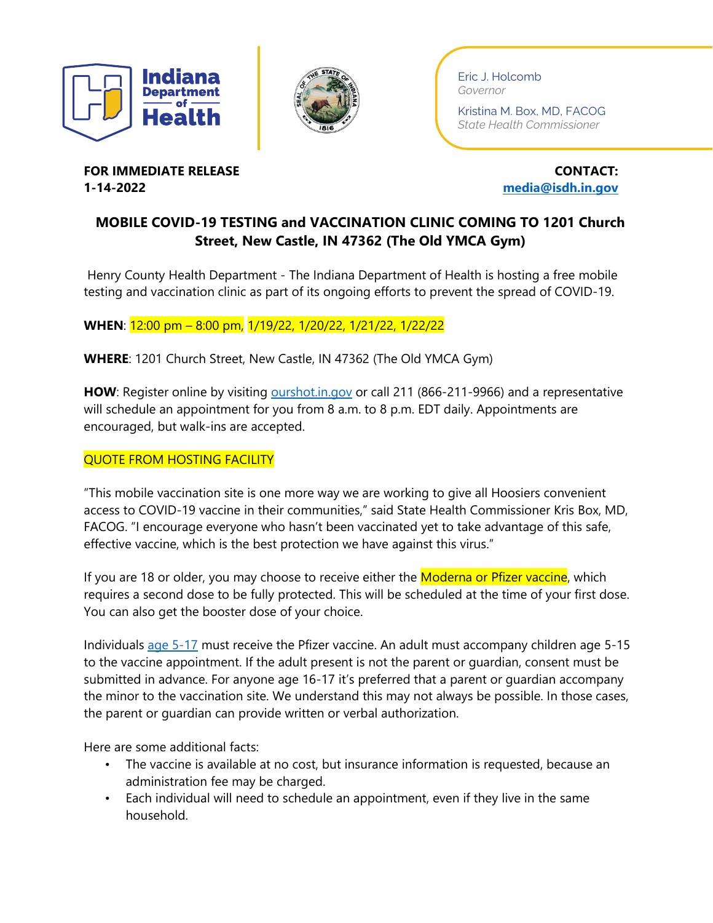



Eric J. Holcomb *Governor*

Kristina M. Box, MD, FACOG *State Health Commissioner*

**FOR IMMEDIATE RELEASE CONTACT: CONTACT: 1-14-2022 [media@isdh.in.gov](mailto:media@isdh.in.gov)**

## **MOBILE COVID-19 TESTING and VACCINATION CLINIC COMING TO 1201 Church Street, New Castle, IN 47362 (The Old YMCA Gym)**

Henry County Health Department - The Indiana Department of Health is hosting a free mobile testing and vaccination clinic as part of its ongoing efforts to prevent the spread of COVID-19.

## **WHEN**: 12:00 pm – 8:00 pm, 1/19/22, 1/20/22, 1/21/22, 1/22/22

**WHERE**: 1201 Church Street, New Castle, IN 47362 (The Old YMCA Gym)

**HOW**: Register online by visiting [ourshot.in.gov](https://www.coronavirus.in.gov/vaccine/index.htm) or call 211 (866-211-9966) and a representative will schedule an appointment for you from 8 a.m. to 8 p.m. EDT daily. Appointments are encouraged, but walk-ins are accepted.

## QUOTE FROM HOSTING FACILITY

"This mobile vaccination site is one more way we are working to give all Hoosiers convenient access to COVID-19 vaccine in their communities," said State Health Commissioner Kris Box, MD, FACOG. "I encourage everyone who hasn't been vaccinated yet to take advantage of this safe, effective vaccine, which is the best protection we have against this virus."

If you are 18 or older, you may choose to receive either the **Moderna or Pfizer vaccine**, which requires a second dose to be fully protected. This will be scheduled at the time of your first dose. You can also get the booster dose of your choice.

Individuals [age 5-17](https://www.coronavirus.in.gov/files/21_Youth%20Pfizer%20fact%20sheet_5-12.pdf) must receive the Pfizer vaccine. An adult must accompany children age 5-15 to the vaccine appointment. If the adult present is not the parent or guardian, consent must be submitted in advance. For anyone age 16-17 it's preferred that a parent or guardian accompany the minor to the vaccination site. We understand this may not always be possible. In those cases, the parent or guardian can provide written or verbal authorization.

Here are some additional facts:

- The vaccine is available at no cost, but insurance information is requested, because an administration fee may be charged.
- Each individual will need to schedule an appointment, even if they live in the same household.